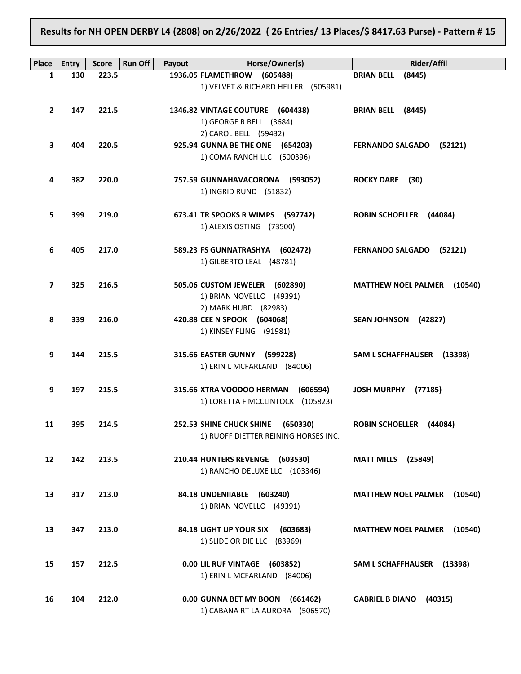Results for NH OPEN DERBY L4 (2808) on 2/26/2022 ( 26 Entries/ 13 Places/\$ 8417.63 Purse) - Pattern # 15

| Place          | <b>Entry</b> | <b>Score</b> | <b>Run Off</b><br>Payout | Horse/Owner(s)                        | <b>Rider/Affil</b>                    |
|----------------|--------------|--------------|--------------------------|---------------------------------------|---------------------------------------|
| 1              | 130          | 223.5        |                          | 1936.05 FLAMETHROW (605488)           | <b>BRIAN BELL</b><br>(8445)           |
|                |              |              |                          | 1) VELVET & RICHARD HELLER (505981)   |                                       |
|                |              |              |                          |                                       |                                       |
| $\overline{2}$ | 147          | 221.5        |                          | 1346.82 VINTAGE COUTURE (604438)      | BRIAN BELL (8445)                     |
|                |              |              |                          | 1) GEORGE R BELL (3684)               |                                       |
|                |              |              |                          | 2) CAROL BELL (59432)                 |                                       |
| 3              | 404          | 220.5        |                          | 925.94 GUNNA BE THE ONE (654203)      | <b>FERNANDO SALGADO</b><br>(52121)    |
|                |              |              |                          | 1) COMA RANCH LLC (500396)            |                                       |
| 4              | 382          | 220.0        |                          | 757.59 GUNNAHAVACORONA (593052)       | ROCKY DARE (30)                       |
|                |              |              |                          | 1) INGRID RUND (51832)                |                                       |
|                |              |              |                          |                                       |                                       |
| 5              | 399          | 219.0        |                          | 673.41 TR SPOOKS R WIMPS (597742)     | <b>ROBIN SCHOELLER (44084)</b>        |
|                |              |              |                          | 1) ALEXIS OSTING (73500)              |                                       |
|                |              |              |                          |                                       |                                       |
| 6              | 405          | 217.0        |                          | 589.23 FS GUNNATRASHYA (602472)       | <b>FERNANDO SALGADO</b><br>(52121)    |
|                |              |              |                          | 1) GILBERTO LEAL (48781)              |                                       |
|                |              |              |                          |                                       |                                       |
| 7              | 325          | 216.5        |                          | 505.06 CUSTOM JEWELER (602890)        | <b>MATTHEW NOEL PALMER</b><br>(10540) |
|                |              |              |                          | 1) BRIAN NOVELLO (49391)              |                                       |
|                |              |              |                          | 2) MARK HURD (82983)                  |                                       |
| 8              | 339          | 216.0        |                          | 420.88 CEE N SPOOK (604068)           | <b>SEAN JOHNSON</b><br>(42827)        |
|                |              |              |                          | 1) KINSEY FLING (91981)               |                                       |
| 9              | 144          | 215.5        |                          | 315.66 EASTER GUNNY (599228)          | SAM L SCHAFFHAUSER (13398)            |
|                |              |              |                          | 1) ERIN L MCFARLAND (84006)           |                                       |
|                |              |              |                          |                                       |                                       |
| 9              | 197          | 215.5        |                          | 315.66 XTRA VOODOO HERMAN<br>(606594) | <b>JOSH MURPHY</b><br>(77185)         |
|                |              |              |                          | 1) LORETTA F MCCLINTOCK (105823)      |                                       |
|                |              |              |                          |                                       |                                       |
| 11             | 395          | 214.5        |                          | 252.53 SHINE CHUCK SHINE<br>(650330)  | <b>ROBIN SCHOELLER</b><br>(44084)     |
|                |              |              |                          | 1) RUOFF DIETTER REINING HORSES INC.  |                                       |
|                |              |              |                          |                                       |                                       |
| 12             | 142          | 213.5        |                          | 210.44 HUNTERS REVENGE (603530)       | <b>MATT MILLS</b> (25849)             |
|                |              |              |                          | 1) RANCHO DELUXE LLC (103346)         |                                       |
| 13             | 317          | 213.0        |                          | 84.18 UNDENIIABLE (603240)            | <b>MATTHEW NOEL PALMER</b><br>(10540) |
|                |              |              |                          | 1) BRIAN NOVELLO (49391)              |                                       |
|                |              |              |                          |                                       |                                       |
| 13             | 347          | 213.0        |                          | 84.18 LIGHT UP YOUR SIX<br>(603683)   | <b>MATTHEW NOEL PALMER (10540)</b>    |
|                |              |              |                          | 1) SLIDE OR DIE LLC (83969)           |                                       |
|                |              |              |                          |                                       |                                       |
| 15             | 157          | 212.5        |                          | 0.00 LIL RUF VINTAGE (603852)         | SAM L SCHAFFHAUSER (13398)            |
|                |              |              |                          | 1) ERIN L MCFARLAND (84006)           |                                       |
|                |              |              |                          |                                       |                                       |
| 16             | 104          | 212.0        |                          | 0.00 GUNNA BET MY BOON (661462)       | <b>GABRIEL B DIANO</b><br>(40315)     |
|                |              |              |                          | 1) CABANA RT LA AURORA (506570)       |                                       |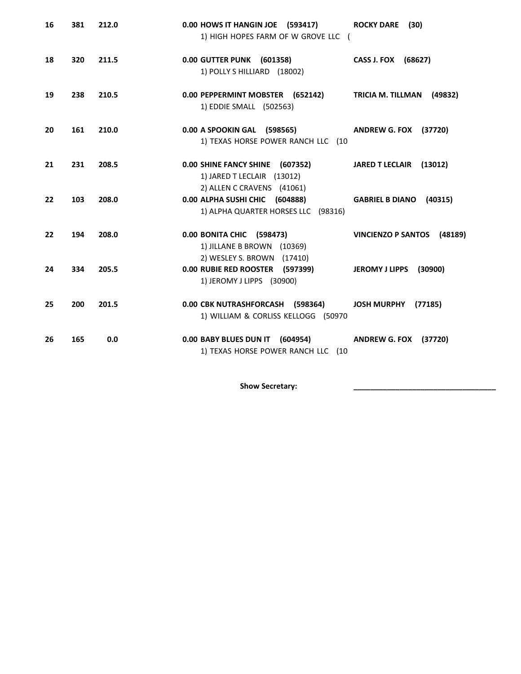| 16 | 381 | 212.0 | 0.00 HOWS IT HANGIN JOE (593417)<br>1) HIGH HOPES FARM OF W GROVE LLC (                     | <b>ROCKY DARE</b><br>(30)            |
|----|-----|-------|---------------------------------------------------------------------------------------------|--------------------------------------|
| 18 | 320 | 211.5 | 0.00 GUTTER PUNK (601358)<br>1) POLLY S HILLIARD (18002)                                    | CASS J. FOX (68627)                  |
| 19 | 238 | 210.5 | 0.00 PEPPERMINT MOBSTER (652142)<br>1) EDDIE SMALL (502563)                                 | <b>TRICIA M. TILLMAN</b><br>(49832)  |
| 20 | 161 | 210.0 | 0.00 A SPOOKIN GAL (598565)<br>1) TEXAS HORSE POWER RANCH LLC (10                           | (37720)<br><b>ANDREW G. FOX</b>      |
| 21 | 231 | 208.5 | 0.00 SHINE FANCY SHINE (607352)<br>1) JARED T LECLAIR (13012)<br>2) ALLEN C CRAVENS (41061) | (13012)<br><b>JARED T LECLAIR</b>    |
| 22 | 103 | 208.0 | 0.00 ALPHA SUSHI CHIC (604888)<br>1) ALPHA QUARTER HORSES LLC (98316)                       | <b>GABRIEL B DIANO</b><br>(40315)    |
| 22 | 194 | 208.0 | 0.00 BONITA CHIC (598473)<br>1) JILLANE B BROWN (10369)<br>2) WESLEY S. BROWN (17410)       | <b>VINCIENZO P SANTOS</b><br>(48189) |
| 24 | 334 | 205.5 | 0.00 RUBIE RED ROOSTER (597399)<br>1) JEROMY J LIPPS (30900)                                | JEROMY J LIPPS (30900)               |
| 25 | 200 | 201.5 | 0.00 CBK NUTRASHFORCASH (598364)<br>1) WILLIAM & CORLISS KELLOGG (50970                     | JOSH MURPHY (77185)                  |
| 26 | 165 | 0.0   | 0.00 BABY BLUES DUN IT (604954)<br>1) TEXAS HORSE POWER RANCH LLC (10                       | <b>ANDREW G. FOX (37720)</b>         |

Show Secretary: